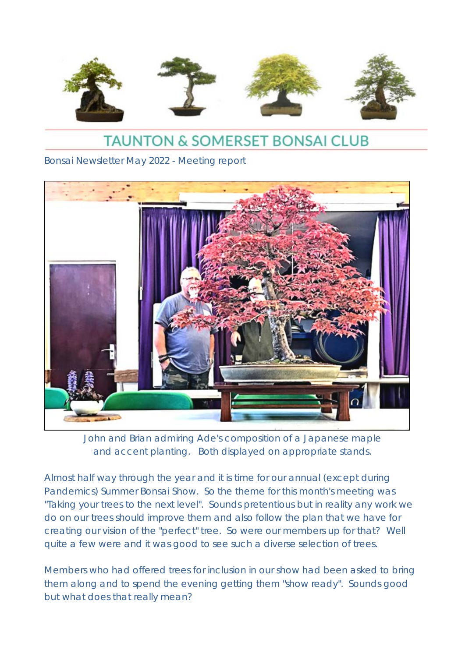

# **TAUNTON & SOMERSET BONSAI CLUB**

Bonsai Newsletter May 2022 - Meeting report



John and Brian admiring Ade's composition of a Japanese maple and accent planting. Both displayed on appropriate stands.

Almost half way through the year and it is time for our annual (except during Pandemics) Summer Bonsai Show. So the theme for this month's meeting was "Taking your trees to the next level". Sounds pretentious but in reality any work we do on our trees should improve them and also follow the plan that we have for creating our vision of the "perfect" tree. So were our members up for that? Well quite a few were and it was good to see such a diverse selection of trees.

Members who had offered trees for inclusion in our show had been asked to bring them along and to spend the evening getting them "show ready". Sounds good but what does that really mean?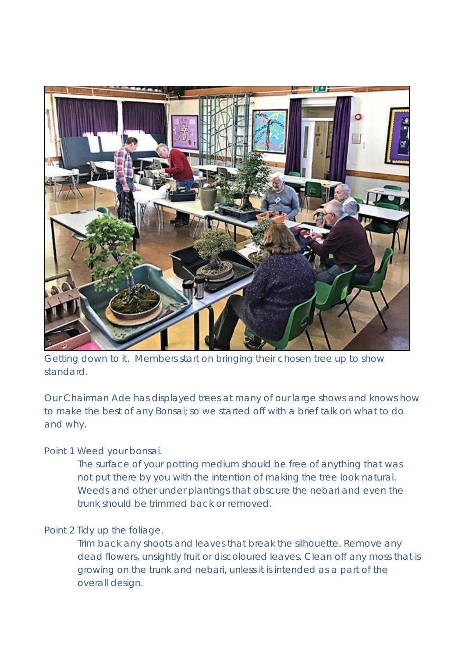

Getting down to it. Members start on bringing their chosen tree up to show standard.

Our Chairman Ade has displayed trees at many of our large shows and knows how to make the best of any Bonsai; so we started off with a brief talk on what to do and why.

### Point 1 Weed your bonsai.

The surface of your potting medium should be free of anything that was not put there by you with the intention of making the tree look natural. Weeds and other under plantings that obscure the nebari and even the trunk should be trimmed back or removed.

## Point 2 Tidy up the foliage.

Trim back any shoots and leaves that break the silhouette. Remove any dead flowers, unsightly fruit or discoloured leaves. Clean off any moss that is growing on the trunk and nebari, unless it is intended as a part of the overall design.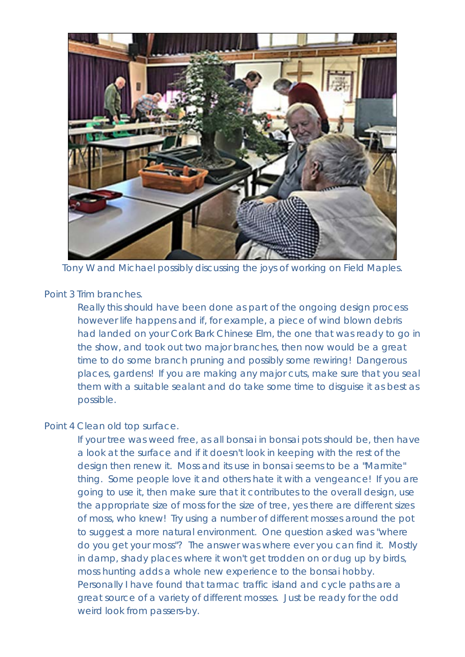

Tony W and Michael possibly discussing the joys of working on Field Maples.

#### Point 3 Trim branches.

Really this should have been done as part of the ongoing design process however life happens and if, for example, a piece of wind blown debris had landed on your Cork Bark Chinese Elm, the one that was ready to go in the show, and took out two major branches, then now would be a great time to do some branch pruning and possibly some rewiring! Dangerous places, gardens! If you are making any major cuts, make sure that you seal them with a suitable sealant and do take some time to disguise it as best as possible.

#### Point 4 Clean old top surface.

If your tree was weed free, as all bonsai in bonsai pots should be, then have a look at the surface and if it doesn't look in keeping with the rest of the design then renew it. Moss and its use in bonsai seems to be a "Marmite" thing. Some people love it and others hate it with a vengeance! If you are going to use it, then make sure that it contributes to the overall design, use the appropriate size of moss for the size of tree, yes there are different sizes of moss, who knew! Try using a number of different mosses around the pot to suggest a more natural environment. One question asked was "where do you get your moss"? The answer was where ever you can find it. Mostly in damp, shady places where it won't get trodden on or dug up by birds, moss hunting adds a whole new experience to the bonsai hobby. Personally I have found that tarmac traffic island and cycle paths are a great source of a variety of different mosses. Just be ready for the odd weird look from passers-by.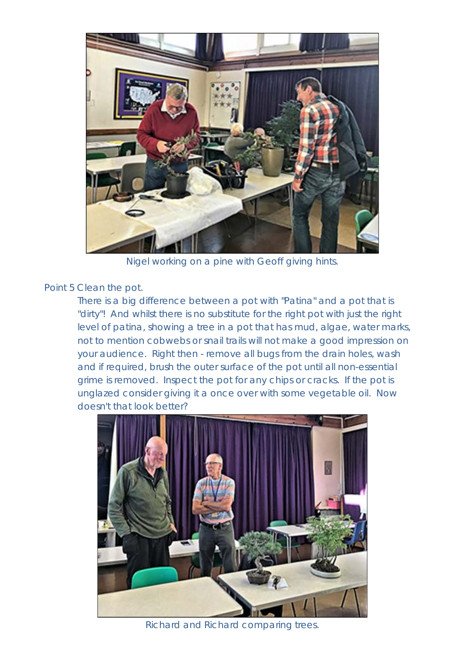

Nigel working on a pine with Geoff giving hints.

Point 5 Clean the pot.

There is a big difference between a pot with "Patina" and a pot that is "dirty"! And whilst there is no substitute for the right pot with just the right level of patina, showing a tree in a pot that has mud, algae, water marks, not to mention cobwebs or snail trails will not make a good impression on your audience. Right then - remove all bugs from the drain holes, wash and if required, brush the outer surface of the pot until all non-essential grime is removed. Inspect the pot for any chips or cracks. If the pot is unglazed consider giving it a once over with some vegetable oil. Now doesn't that look better?



Richard and Richard comparing trees.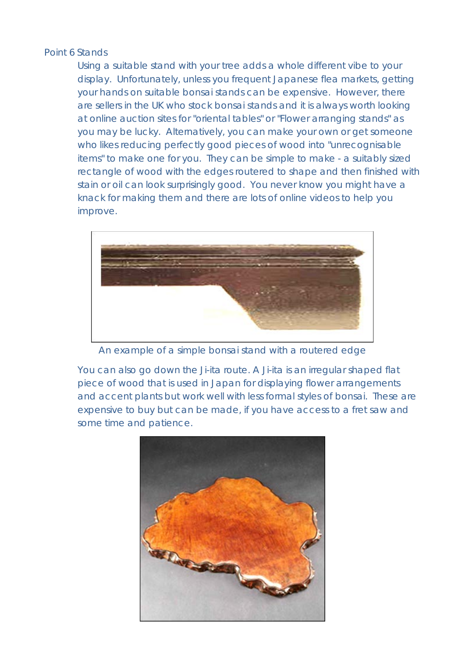### Point 6 Stands

Using a suitable stand with your tree adds a whole different vibe to your display. Unfortunately, unless you frequent Japanese flea markets, getting your hands on suitable bonsai stands can be expensive. However, there are sellers in the UK who stock bonsai stands and it is always worth looking at online auction sites for "oriental tables" or "Flower arranging stands" as you may be lucky. Alternatively, you can make your own or get someone who likes reducing perfectly good pieces of wood into "unrecognisable items" to make one for you. They can be simple to make - a suitably sized rectangle of wood with the edges routered to shape and then finished with stain or oil can look surprisingly good. You never know you might have a knack for making them and there are lots of online videos to help you improve.



An example of a simple bonsai stand with a routered edge

You can also go down the Ji-ita route. A Ji-ita is an irregular shaped flat piece of wood that is used in Japan for displaying flower arrangements and accent plants but work well with less formal styles of bonsai. These are expensive to buy but can be made, if you have access to a fret saw and some time and patience.

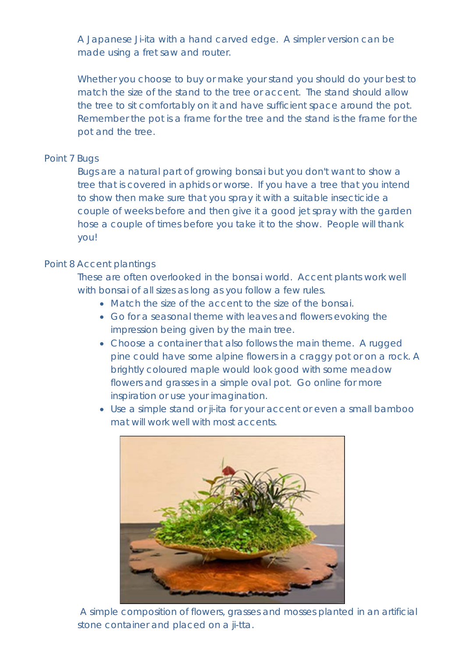A Japanese Ji-ita with a hand carved edge. A simpler version can be made using a fret saw and router.

Whether you choose to buy or make your stand you should do your best to match the size of the stand to the tree or accent. The stand should allow the tree to sit comfortably on it and have sufficient space around the pot. Remember the pot is a frame for the tree and the stand is the frame for the pot and the tree.

## Point 7 Bugs

Bugs are a natural part of growing bonsai but you don't want to show a tree that is covered in aphids or worse. If you have a tree that you intend to show then make sure that you spray it with a suitable insecticide a couple of weeks before and then give it a good jet spray with the garden hose a couple of times before you take it to the show. People will thank you!

## Point 8 Accent plantings

These are often overlooked in the bonsai world. Accent plants work well with bonsai of all sizes as long as you follow a few rules.

- Match the size of the accent to the size of the bonsai.
- Go for a seasonal theme with leaves and flowers evoking the impression being given by the main tree.
- Choose a container that also follows the main theme. A rugged pine could have some alpine flowers in a craggy pot or on a rock. A brightly coloured maple would look good with some meadow flowers and grasses in a simple oval pot. Go online for more inspiration or use your imagination.
- Use a simple stand or ji-ita for your accent or even a small bamboo mat will work well with most accents.



A simple composition of flowers, grasses and mosses planted in an artificial stone container and placed on a ji-tta.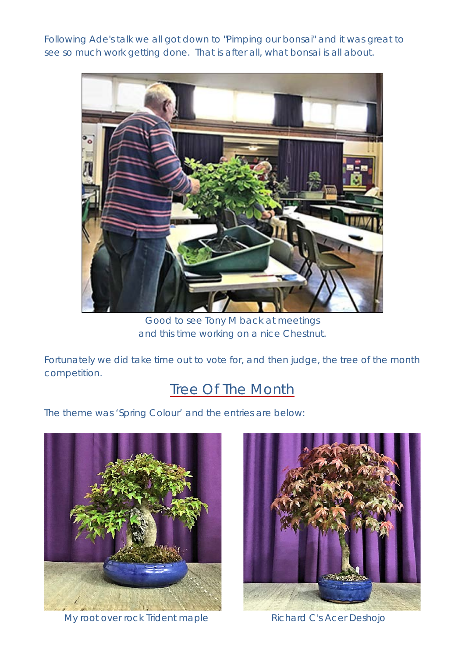Following Ade's talk we all got down to "Pimping our bonsai" and it was great to see so much work getting done. That is after all, what bonsai is all about.



Good to see Tony M back at meetings and this time working on a nice Chestnut.

Fortunately we did take time out to vote for, and then judge, the tree of the month competition.

# **Tree Of The Month**

The theme was 'Spring Colour' and the entries are below:



My root over rock Trident maple Richard C's Acer Deshojo